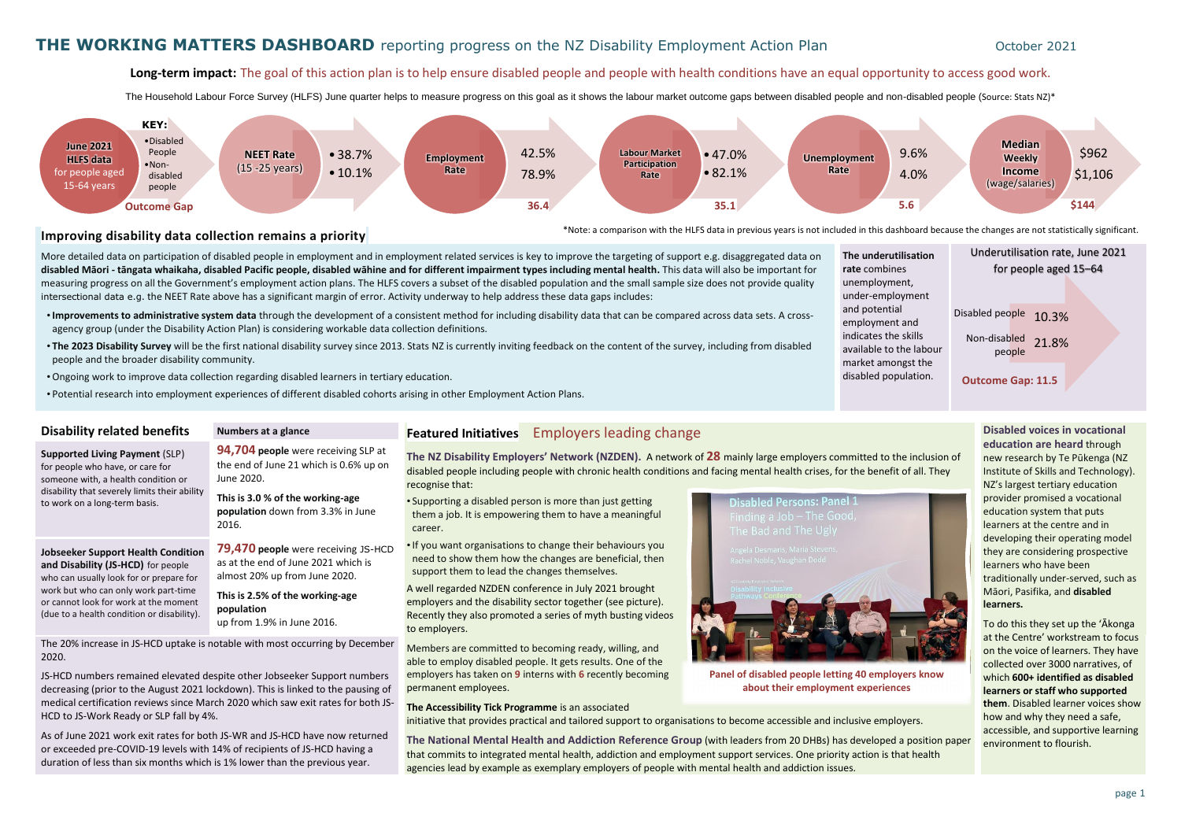### Long-term impact: The goal of this action plan is to help ensure disabled people and people with health conditions have an equal opportunity to access good work.

The Household Labour Force Survey (HLFS) June quarter helps to measure progress on this goal as it shows the labour market outcome gaps between disabled people and non-disabled people (Source: Stats NZ)\*

### **Improving disability data collection remains a priority**

More detailed data on participation of disabled people in employment and in employment related services is key to improve the targeting of support e.g. disaggregated data on **disabled Māori - tāngata whaikaha, disabled Pacific people, disabled wāhine and for different impairment types including mental health.** This data will also be important for measuring progress on all the Government's employment action plans. The HLFS covers a subset of the disabled population and the small sample size does not provide quality intersectional data e.g. the NEET Rate above has a significant margin of error. Activity underway to help address these data gaps includes:

- •**Improvements to administrative system data** through the development of a consistent method for including disability data that can be compared across data sets. A crossagency group (under the Disability Action Plan) is considering workable data collection definitions.
- **The 2023 Disability Survey** will be the first national disability survey since 2013. Stats NZ is currently inviting feedback on the content of the survey, including from disabled people and the broader disability community.
- •Ongoing work to improve data collection regarding disabled learners in tertiary education.
- Potential research into employment experiences of different disabled cohorts arising in other Employment Action Plans.

**The NZ Disability Employers' Network (NZDEN).** A network of **28** mainly large employers committed to the inclusion of disabled people including people with chronic health conditions and facing mental health crises, for the benefit of all. They recognise that:

• Supporting a disabled person is more than just getting them a job. It is empowering them to have a meaningful career.

•If you want organisations to change their behaviours you need to show them how the changes are beneficial, then support them to lead the changes themselves.



A well regarded NZDEN conference in July 2021 brought employers and the disability sector together (see picture). Recently they also promoted a series of myth busting videos to employers.

Members are committed to becoming ready, willing, and able to employ disabled people. It gets results. One of the employers has taken on **9** interns with **6** recently becoming permanent employees.

### **The Accessibility Tick Programme** is an associated

initiative that provides practical and tailored support to organisations to become accessible and inclusive employers.

**The National Mental Health and Addiction Reference Group** (with leaders from 20 DHBs) has developed a position paper that commits to integrated mental health, addiction and employment support services. One priority action is that health agencies lead by example as exemplary employers of people with mental health and addiction issues.

**The underu rate** combi unemployr under-emp and potent employmer indicates tl available to market am disabled po



**Disabled voices in vocational education are heard** through new research by Te Pūkenga (NZ Institute of Skills and Technology). NZ's largest tertiary education provider promised a vocational education system that puts learners at the centre and in developing their operating model they are considering prospective learners who have been traditionally under-served, such as Māori, Pasifika, and **disabled learners.**

| <b>utilisation</b> | Underutilisation rate, June 2021 |  |  |  |  |  |  |
|--------------------|----------------------------------|--|--|--|--|--|--|
| nes                | for people aged 15-64            |  |  |  |  |  |  |
| nent,              |                                  |  |  |  |  |  |  |
| loyment            |                                  |  |  |  |  |  |  |
| ial                | Disabled people<br>10.3%         |  |  |  |  |  |  |
| nt and             |                                  |  |  |  |  |  |  |
| າe skills          | Non-disabled<br>21.8%            |  |  |  |  |  |  |
| the labour         | people                           |  |  |  |  |  |  |
| ongst the          |                                  |  |  |  |  |  |  |
| pulation.          | <b>Outcome Gap: 11.5</b>         |  |  |  |  |  |  |
|                    |                                  |  |  |  |  |  |  |

To do this they set up the 'Ākonga at the Centre' workstream to focus on the voice of learners. They have collected over 3000 narratives, of which **600+ identified as disabled learners or staff who supported them**. Disabled learner voices show how and why they need a safe, accessible, and supportive learning environment to flourish.

**Supported Living Payment** (SLP) for people who have, or care for someone with, a health condition or

to work on a long-term basis.

disability that severely limits their ability **94,704 people** were receiving SLP at the end of June 21 which is 0.6% up on June 2020.

**This is 3.0 % of the working-age population** down from 3.3% in June 2016.

**Jobseeker Support Health Condition and Disability (JS-HCD)** for people who can usually look for or prepare for work but who can only work part-time or cannot look for work at the moment (due to a health condition or disability).

**79,470 people** were receiving JS-HCD as at the end of June 2021 which is almost 20% up from June 2020.

**This is 2.5% of the working-age population** up from 1.9% in June 2016.

The 20% increase in JS-HCD uptake is notable with most occurring by December 2020.

JS-HCD numbers remained elevated despite other Jobseeker Support numbers decreasing (prior to the August 2021 lockdown). This is linked to the pausing of medical certification reviews since March 2020 which saw exit rates for both JS-HCD to JS-Work Ready or SLP fall by 4%.

As of June 2021 work exit rates for both JS-WR and JS-HCD have now returned or exceeded pre-COVID-19 levels with 14% of recipients of JS-HCD having a duration of less than six months which is 1% lower than the previous year.

### **Disability related benefits Numbers at a glance Featured Initiatives Employers leading change**

**Panel of disabled people letting 40 employers know about their employment experiences**

\*Note: a comparison with the HLFS data in previous years is not included in this dashboard because the changes are not statistically significant.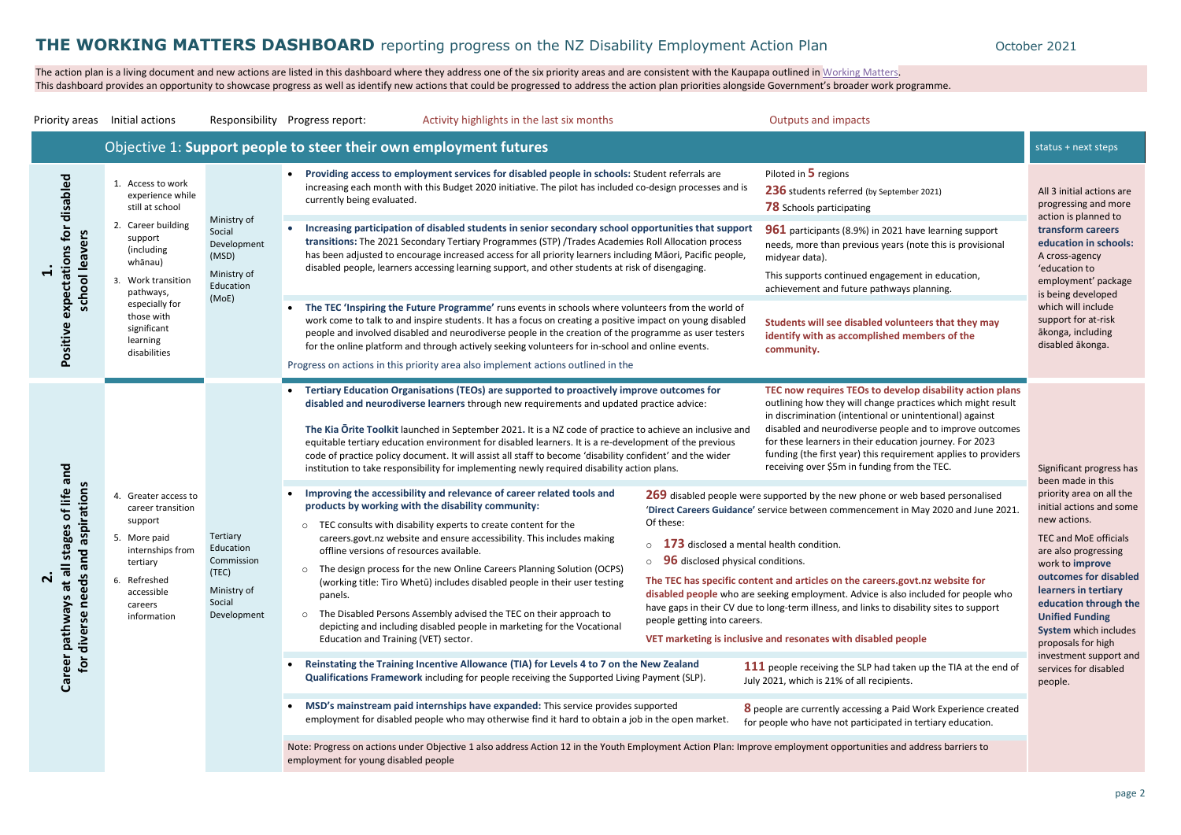The action plan is a living document and new actions are listed in this dashboard where they address one of the six priority areas and are consistent with the Kaupapa outlined in [Working Matters.](https://www.msd.govt.nz/what-we-can-do/disability-services/disability-employment-action-plan/index.html) This dashboard provides an opportunity to showcase progress as well as identify new actions that could be progressed to address the action plan priorities alongside Government's broader work programme.

All 3 initial actions are progressing and more action is planned to **transform careers education in schools:** A cross-agency 'education to employment' package is being developed which will include support for at-risk ākonga, including disabled ākonga.

**TEC 15 Incheffer 15 Incheffer** e practices which might result or unintentional) against eople and to improve outcomes ication journey. For 2023 equirement applies to providers g from the TEC. The state of the Significant progress has

### **d** people

|                                                                                                                                                                                          | Priority areas Initial actions                                                                                                                                                                                                                                                                                      |                                                                                      | Responsibility Progress report:                                                                                                                                                                                                                                                                                                                                                                                              | Activity highlights in the last six months                                                                                                                                                                                                                                                                                                                                                                                                                                                                                                                                                                                                                                                                                                                                                                                                                                                                                                                                                                                                                                                                                                                                                                                                                                                                                                                                                                                                                                                                                                                                                      |                                                                                                                                                                                                                                       | <b>Outputs and impacts</b>                                                                                                                                                                                                                                                                                                                                                                                                                                                                                                                                                                                                                                                                                                                                                                                                                                                                                                                                                                                                                                                                                                                                                                                                                                                                                                                                         |                                                                                                                                                                                                                                                                                                                                                                        |
|------------------------------------------------------------------------------------------------------------------------------------------------------------------------------------------|---------------------------------------------------------------------------------------------------------------------------------------------------------------------------------------------------------------------------------------------------------------------------------------------------------------------|--------------------------------------------------------------------------------------|------------------------------------------------------------------------------------------------------------------------------------------------------------------------------------------------------------------------------------------------------------------------------------------------------------------------------------------------------------------------------------------------------------------------------|-------------------------------------------------------------------------------------------------------------------------------------------------------------------------------------------------------------------------------------------------------------------------------------------------------------------------------------------------------------------------------------------------------------------------------------------------------------------------------------------------------------------------------------------------------------------------------------------------------------------------------------------------------------------------------------------------------------------------------------------------------------------------------------------------------------------------------------------------------------------------------------------------------------------------------------------------------------------------------------------------------------------------------------------------------------------------------------------------------------------------------------------------------------------------------------------------------------------------------------------------------------------------------------------------------------------------------------------------------------------------------------------------------------------------------------------------------------------------------------------------------------------------------------------------------------------------------------------------|---------------------------------------------------------------------------------------------------------------------------------------------------------------------------------------------------------------------------------------|--------------------------------------------------------------------------------------------------------------------------------------------------------------------------------------------------------------------------------------------------------------------------------------------------------------------------------------------------------------------------------------------------------------------------------------------------------------------------------------------------------------------------------------------------------------------------------------------------------------------------------------------------------------------------------------------------------------------------------------------------------------------------------------------------------------------------------------------------------------------------------------------------------------------------------------------------------------------------------------------------------------------------------------------------------------------------------------------------------------------------------------------------------------------------------------------------------------------------------------------------------------------------------------------------------------------------------------------------------------------|------------------------------------------------------------------------------------------------------------------------------------------------------------------------------------------------------------------------------------------------------------------------------------------------------------------------------------------------------------------------|
|                                                                                                                                                                                          |                                                                                                                                                                                                                                                                                                                     |                                                                                      |                                                                                                                                                                                                                                                                                                                                                                                                                              | Objective 1: Support people to steer their own employment futures                                                                                                                                                                                                                                                                                                                                                                                                                                                                                                                                                                                                                                                                                                                                                                                                                                                                                                                                                                                                                                                                                                                                                                                                                                                                                                                                                                                                                                                                                                                               |                                                                                                                                                                                                                                       |                                                                                                                                                                                                                                                                                                                                                                                                                                                                                                                                                                                                                                                                                                                                                                                                                                                                                                                                                                                                                                                                                                                                                                                                                                                                                                                                                                    | status + next steps                                                                                                                                                                                                                                                                                                                                                    |
| disabled<br>$\overline{6}$<br>school leavers<br>expectations<br>Positive                                                                                                                 | 1. Access to work<br>experience while<br>still at school<br>Ministry of<br>2. Career building<br>Social<br>support<br>Development<br>(including<br>(MSD)<br>whānau)<br>Ministry of<br>Work transition<br>Education<br>pathways,<br>(MoE)<br>especially for<br>those with<br>significant<br>learning<br>disabilities | currently being evaluated.                                                           | Providing access to employment services for disabled people in schools: Student referrals are<br>increasing each month with this Budget 2020 initiative. The pilot has included co-design processes and is                                                                                                                                                                                                                   |                                                                                                                                                                                                                                                                                                                                                                                                                                                                                                                                                                                                                                                                                                                                                                                                                                                                                                                                                                                                                                                                                                                                                                                                                                                                                                                                                                                                                                                                                                                                                                                                 | Piloted in 5 regions<br>236 students referred (by September 2021)<br><b>78</b> Schools participating                                                                                                                                  | All 3 initial actions<br>progressing and m<br>action is planned t                                                                                                                                                                                                                                                                                                                                                                                                                                                                                                                                                                                                                                                                                                                                                                                                                                                                                                                                                                                                                                                                                                                                                                                                                                                                                                  |                                                                                                                                                                                                                                                                                                                                                                        |
|                                                                                                                                                                                          |                                                                                                                                                                                                                                                                                                                     |                                                                                      | Increasing participation of disabled students in senior secondary school opportunities that support<br>transitions: The 2021 Secondary Tertiary Programmes (STP) /Trades Academies Roll Allocation process<br>has been adjusted to encourage increased access for all priority learners including Māori, Pacific people,<br>disabled people, learners accessing learning support, and other students at risk of disengaging. |                                                                                                                                                                                                                                                                                                                                                                                                                                                                                                                                                                                                                                                                                                                                                                                                                                                                                                                                                                                                                                                                                                                                                                                                                                                                                                                                                                                                                                                                                                                                                                                                 | 961 participants (8.9%) in 2021 have learning support<br>needs, more than previous years (note this is provisional<br>midyear data).<br>This supports continued engagement in education,<br>achievement and future pathways planning. | transform careers<br>education in scho<br>A cross-agency<br>'education to<br>employment' pack                                                                                                                                                                                                                                                                                                                                                                                                                                                                                                                                                                                                                                                                                                                                                                                                                                                                                                                                                                                                                                                                                                                                                                                                                                                                      |                                                                                                                                                                                                                                                                                                                                                                        |
|                                                                                                                                                                                          |                                                                                                                                                                                                                                                                                                                     |                                                                                      |                                                                                                                                                                                                                                                                                                                                                                                                                              | The TEC 'Inspiring the Future Programme' runs events in schools where volunteers from the world of<br>work come to talk to and inspire students. It has a focus on creating a positive impact on young disabled<br>people and involved disabled and neurodiverse people in the creation of the programme as user testers<br>for the online platform and through actively seeking volunteers for in-school and online events.<br>Progress on actions in this priority area also implement actions outlined in the                                                                                                                                                                                                                                                                                                                                                                                                                                                                                                                                                                                                                                                                                                                                                                                                                                                                                                                                                                                                                                                                                |                                                                                                                                                                                                                                       | Students will see disabled volunteers that they may<br>identify with as accomplished members of the<br>community.                                                                                                                                                                                                                                                                                                                                                                                                                                                                                                                                                                                                                                                                                                                                                                                                                                                                                                                                                                                                                                                                                                                                                                                                                                                  | is being developed<br>which will include<br>support for at-risk<br>ākonga, including<br>disabled ākonga.                                                                                                                                                                                                                                                               |
| pue<br>aspirations<br>of life<br>tages<br>$\overline{\mathbf{c}}$<br>ທ<br>ān<br>Ξ<br>$\boldsymbol{\varpi}$<br>eds<br><b>ro</b><br><b>De</b><br><b>S</b><br>Career pathway<br>for diverse | 4. Greater access to<br>career transition<br>support<br>5. More paid<br>internships from<br>tertiary<br>6. Refreshed<br>accessible<br>careers<br>information                                                                                                                                                        | Tertiary<br>Education<br>Commission<br>(TEC)<br>Ministry of<br>Social<br>Development | $\circ$<br>offline versions of resources available.<br>$\circ$<br>panels.<br>$\circ$<br>Education and Training (VET) sector.<br>employment for young disabled people                                                                                                                                                                                                                                                         | Tertiary Education Organisations (TEOs) are supported to proactively improve outcomes for<br>disabled and neurodiverse learners through new requirements and updated practice advice:<br>The Kia Orite Toolkit launched in September 2021. It is a NZ code of practice to achieve an inclusive and<br>equitable tertiary education environment for disabled learners. It is a re-development of the previous<br>code of practice policy document. It will assist all staff to become 'disability confident' and the wider<br>institution to take responsibility for implementing newly required disability action plans.<br>Improving the accessibility and relevance of career related tools and<br>products by working with the disability community:<br>TEC consults with disability experts to create content for the<br>careers.govt.nz website and ensure accessibility. This includes making<br>The design process for the new Online Careers Planning Solution (OCPS)<br>(working title: Tiro Whetū) includes disabled people in their user testing<br>The Disabled Persons Assembly advised the TEC on their approach to<br>depicting and including disabled people in marketing for the Vocational<br>Reinstating the Training Incentive Allowance (TIA) for Levels 4 to 7 on the New Zealand<br>Qualifications Framework including for people receiving the Supported Living Payment (SLP).<br>MSD's mainstream paid internships have expanded: This service provides supported<br>employment for disabled people who may otherwise find it hard to obtain a job in the open market. | Of these:<br>$\circ$ 173 disclosed a mental health condition.<br><b>96</b> disclosed physical conditions.<br>$\circ$<br>people getting into careers.                                                                                  | TEC now requires TEOs to develop disability action plans<br>outlining how they will change practices which might result<br>in discrimination (intentional or unintentional) against<br>disabled and neurodiverse people and to improve outcomes<br>for these learners in their education journey. For 2023<br>funding (the first year) this requirement applies to providers<br>receiving over \$5m in funding from the TEC.<br>269 disabled people were supported by the new phone or web based personalised<br>'Direct Careers Guidance' service between commencement in May 2020 and June 2021<br>The TEC has specific content and articles on the careers.govt.nz website for<br>disabled people who are seeking employment. Advice is also included for people who<br>have gaps in their CV due to long-term illness, and links to disability sites to support<br>VET marketing is inclusive and resonates with disabled people<br>111 people receiving the SLP had taken up the TIA at the end of<br>July 2021, which is 21% of all recipients.<br><b>8</b> people are currently accessing a Paid Work Experience created<br>for people who have not participated in tertiary education.<br>Note: Progress on actions under Objective 1 also address Action 12 in the Youth Employment Action Plan: Improve employment opportunities and address barriers to | Significant progres<br>been made in this<br>priority area on all<br>initial actions and :<br>new actions.<br>TEC and MoE offici<br>are also progressin<br>work to improve<br>outcomes for disa<br>learners in tertiar<br>education throug<br><b>Unified Funding</b><br>System which incl<br>proposals for high<br>investment suppor<br>services for disable<br>people. |

been made in this priority area on all the initial actions and some new actions.

TEC and MoE officials are also progressing work to **improve outcomes for disabled learners in tertiary education through the Unified Funding System** which includes proposals for high investment support and services for disabled people.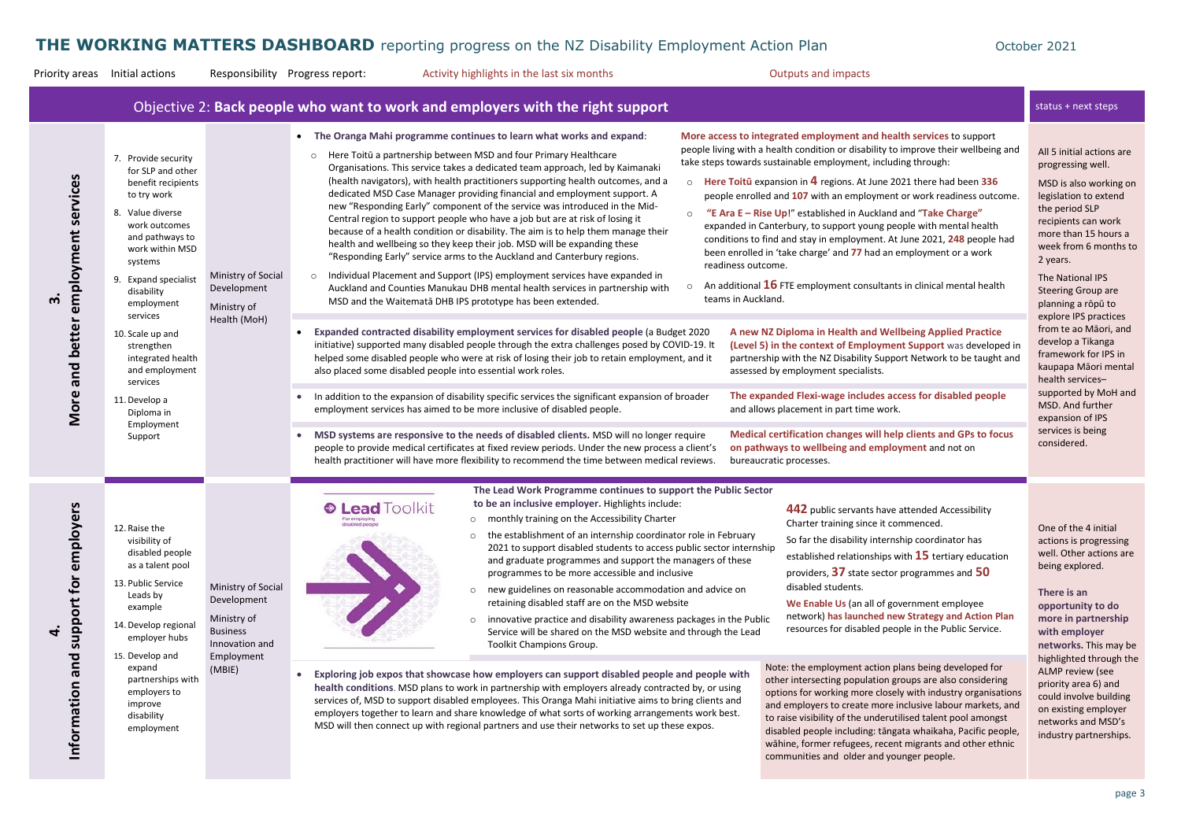Priority areas Initial actions Responsibility Progress report: Activity highlights in the last six months Cutputs and impacts

|                                                       |                                                                                                                                                                                                                                                                                                                                                                                  |                                                                                                               | Objective 2: Back people who want to work and employers with the right support                                                                                                                                                                                                                                                                                                                                                                                                                                                                                                                                                                                                                                                                                                                                                                                                                                                                                                                                                                                                                                                                                                                                                                                                                                                                                                                                                                                                                                                                                                                                                                                                                                                                                                                                                                                                                                                                                                                                                                                                                                                                                                                                                                                                                                                                                                                                                                                                                                                                                                                                                                                                                                                                                                                                                                                                                                                                                                                                                                                                                                                                                                                                                     | status + next steps                                                                                                                                                                                                                                                                                                                           |  |  |
|-------------------------------------------------------|----------------------------------------------------------------------------------------------------------------------------------------------------------------------------------------------------------------------------------------------------------------------------------------------------------------------------------------------------------------------------------|---------------------------------------------------------------------------------------------------------------|------------------------------------------------------------------------------------------------------------------------------------------------------------------------------------------------------------------------------------------------------------------------------------------------------------------------------------------------------------------------------------------------------------------------------------------------------------------------------------------------------------------------------------------------------------------------------------------------------------------------------------------------------------------------------------------------------------------------------------------------------------------------------------------------------------------------------------------------------------------------------------------------------------------------------------------------------------------------------------------------------------------------------------------------------------------------------------------------------------------------------------------------------------------------------------------------------------------------------------------------------------------------------------------------------------------------------------------------------------------------------------------------------------------------------------------------------------------------------------------------------------------------------------------------------------------------------------------------------------------------------------------------------------------------------------------------------------------------------------------------------------------------------------------------------------------------------------------------------------------------------------------------------------------------------------------------------------------------------------------------------------------------------------------------------------------------------------------------------------------------------------------------------------------------------------------------------------------------------------------------------------------------------------------------------------------------------------------------------------------------------------------------------------------------------------------------------------------------------------------------------------------------------------------------------------------------------------------------------------------------------------------------------------------------------------------------------------------------------------------------------------------------------------------------------------------------------------------------------------------------------------------------------------------------------------------------------------------------------------------------------------------------------------------------------------------------------------------------------------------------------------------------------------------------------------------------------------------------------------|-----------------------------------------------------------------------------------------------------------------------------------------------------------------------------------------------------------------------------------------------------------------------------------------------------------------------------------------------|--|--|
| employment services<br>m<br>and better<br>More        | 7. Provide security<br>for SLP and other<br>benefit recipients<br>to try work<br>8. Value diverse<br>work outcomes<br>and pathways to<br>work within MSD<br>systems<br>9. Expand specialist<br>disability<br>employment<br>services<br>10. Scale up and<br>strengthen<br>integrated health<br>and employment<br>services<br>11. Develop a<br>Diploma in<br>Employment<br>Support | Ministry of Social<br>Development<br>Ministry of<br>Health (MoH)                                              | More access to integrated employment and health services to support<br>• The Oranga Mahi programme continues to learn what works and expand:<br>people living with a health condition or disability to improve their wellbeing and<br>Here Toitū a partnership between MSD and four Primary Healthcare<br>$\circ$<br>take steps towards sustainable employment, including through:<br>Organisations. This service takes a dedicated team approach, led by Kaimanaki<br>(health navigators), with health practitioners supporting health outcomes, and a<br>Here Toitu expansion in $4$ regions. At June 2021 there had been 336<br>$\Omega$<br>dedicated MSD Case Manager providing financial and employment support. A<br>people enrolled and 107 with an employment or work readiness outcome.<br>new "Responding Early" component of the service was introduced in the Mid-<br>"E Ara E - Rise Up!" established in Auckland and "Take Charge"<br>$\circ$<br>Central region to support people who have a job but are at risk of losing it<br>expanded in Canterbury, to support young people with mental health<br>because of a health condition or disability. The aim is to help them manage their<br>conditions to find and stay in employment. At June 2021, 248 people had<br>health and wellbeing so they keep their job. MSD will be expanding these<br>been enrolled in 'take charge' and 77 had an employment or a work<br>"Responding Early" service arms to the Auckland and Canterbury regions.<br>readiness outcome.<br>Individual Placement and Support (IPS) employment services have expanded in<br>$\circ$<br>An additional $16$ FTE employment consultants in clinical mental health<br>Auckland and Counties Manukau DHB mental health services in partnership with<br>teams in Auckland.<br>MSD and the Waitemata DHB IPS prototype has been extended.<br>Expanded contracted disability employment services for disabled people (a Budget 2020<br>A new NZ Diploma in Health and Wellbeing Applied Practice<br>initiative) supported many disabled people through the extra challenges posed by COVID-19. It<br>(Level 5) in the context of Employment Support was developed in<br>helped some disabled people who were at risk of losing their job to retain employment, and it<br>partnership with the NZ Disability Support Network to be taught and<br>also placed some disabled people into essential work roles.<br>assessed by employment specialists.<br>The expanded Flexi-wage includes access for disabled people<br>In addition to the expansion of disability specific services the significant expansion of broader<br>and allows placement in part time work.<br>employment services has aimed to be more inclusive of disabled people.<br>Medical certification changes will help clients and GPs to focus<br>MSD systems are responsive to the needs of disabled clients. MSD will no longer require<br>people to provide medical certificates at fixed review periods. Under the new process a client's<br>on pathways to wellbeing and employment and not on<br>health practitioner will have more flexibility to recommend the time between medical reviews.<br>bureaucratic processes. |                                                                                                                                                                                                                                                                                                                                               |  |  |
| yers<br>emplo<br>support for<br>4.<br>Information and | 12. Raise the<br>visibility of<br>disabled people<br>as a talent pool<br>13. Public Service<br>Leads by<br>example<br>14. Develop regional<br>employer hubs<br>15. Develop and<br>expand<br>partnerships with<br>employers to<br>improve<br>disability<br>employment                                                                                                             | Ministry of Social<br>Development<br>Ministry of<br><b>Business</b><br>Innovation and<br>Employment<br>(MBIE) | The Lead Work Programme continues to support the Public Sector<br>to be an inclusive employer. Highlights include:<br><b>C</b> Lead Toolkit<br>442 public servants have attended Accessibility<br>o monthly training on the Accessibility Charter<br>Charter training since it commenced.<br>disabled people<br>o the establishment of an internship coordinator role in February<br>So far the disability internship coordinator has<br>2021 to support disabled students to access public sector internship<br>established relationships with $15$ tertiary education<br>and graduate programmes and support the managers of these<br>providers, 37 state sector programmes and 50<br>programmes to be more accessible and inclusive<br>disabled students.<br>new guidelines on reasonable accommodation and advice on<br>$\circ$<br>retaining disabled staff are on the MSD website<br>We Enable Us (an all of government employee<br>network) has launched new Strategy and Action Plan<br>innovative practice and disability awareness packages in the Public<br>$\circ$<br>resources for disabled people in the Public Service.<br>Service will be shared on the MSD website and through the Lead<br>Toolkit Champions Group.<br>Note: the employment action plans being developed for<br>Exploring job expos that showcase how employers can support disabled people and people with<br>other intersecting population groups are also considering<br>health conditions. MSD plans to work in partnership with employers already contracted by, or using<br>options for working more closely with industry organisations<br>services of, MSD to support disabled employees. This Oranga Mahi initiative aims to bring clients and<br>and employers to create more inclusive labour markets, and<br>employers together to learn and share knowledge of what sorts of working arrangements work best.<br>to raise visibility of the underutilised talent pool amongst<br>MSD will then connect up with regional partners and use their networks to set up these expos.<br>disabled people including: tāngata whaikaha, Pacific people,<br>wāhine, former refugees, recent migrants and other ethnic<br>communities and older and younger people.                                                                                                                                                                                                                                                                                                                                                                                                                                                                                                                                                                                                                                                                                                                                                                                                                                                                                                                                                                               | One of the 4 initial<br>actions is progress<br>well. Other actions<br>being explored.<br>There is an<br>opportunity to do<br>more in partners!<br>with employer<br>networks. This ma<br>highlighted throug<br>ALMP review (see<br>priority area 6) and<br>could involve build<br>on existing employ<br>networks and MSD<br>industry partnersh |  |  |

All 5 initial actions are progressing well.

MSD is also working on legislation to extend the period SLP recipients can work more than 15 hours a week from 6 months to 2 years.

The National IPS Steering Group are planning a rōpū to explore IPS practices from te ao Māori, and develop a Tikanga framework for IPS in kaupapa Māori mental health services– supported by MoH and MSD. And further expansion of IPS services is being considered.

One of the 4 initial actions is progressing well. Other actions are being explored.

**There is an opportunity to do more in partnership with employer networks.** This may be highlighted through the ALMP review (see priority area 6) and could involve building on existing employer networks and MSD's industry partnerships.